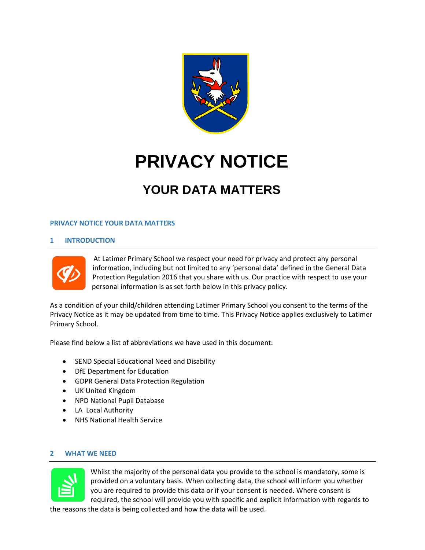

# **PRIVACY NOTICE**

# **YOUR DATA MATTERS**

# **PRIVACY NOTICE YOUR DATA MATTERS**

# **1 INTRODUCTION**



At Latimer Primary School we respect your need for privacy and protect any personal information, including but not limited to any 'personal data' defined in the General Data Protection Regulation 2016 that you share with us. Our practice with respect to use your personal information is as set forth below in this privacy policy.

As a condition of your child/children attending Latimer Primary School you consent to the terms of the Privacy Notice as it may be updated from time to time. This Privacy Notice applies exclusively to Latimer Primary School.

Please find below a list of abbreviations we have used in this document:

- SEND Special Educational Need and Disability
- DfE Department for Education
- GDPR General Data Protection Regulation
- UK United Kingdom
- NPD National Pupil Database
- LA Local Authority
- NHS National Health Service

#### **2 WHAT WE NEED**



Whilst the majority of the personal data you provide to the school is mandatory, some is provided on a voluntary basis. When collecting data, the school will inform you whether you are required to provide this data or if your consent is needed. Where consent is required, the school will provide you with specific and explicit information with regards to

the reasons the data is being collected and how the data will be used.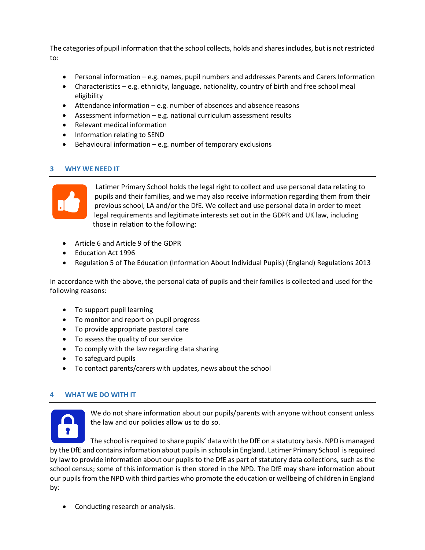The categories of pupil information that the school collects, holds and shares includes, but is not restricted to:

- Personal information e.g. names, pupil numbers and addresses Parents and Carers Information
- Characteristics e.g. ethnicity, language, nationality, country of birth and free school meal eligibility
- Attendance information e.g. number of absences and absence reasons
- Assessment information e.g. national curriculum assessment results
- Relevant medical information
- Information relating to SEND
- Behavioural information  $-e.g.$  number of temporary exclusions

# **3 WHY WE NEED IT**



Latimer Primary School holds the legal right to collect and use personal data relating to pupils and their families, and we may also receive information regarding them from their previous school, LA and/or the DfE. We collect and use personal data in order to meet legal requirements and legitimate interests set out in the GDPR and UK law, including those in relation to the following:

- Article 6 and Article 9 of the GDPR
- Education Act 1996
- Regulation 5 of The Education (Information About Individual Pupils) (England) Regulations 2013

In accordance with the above, the personal data of pupils and their families is collected and used for the following reasons:

- To support pupil learning
- To monitor and report on pupil progress
- To provide appropriate pastoral care
- To assess the quality of our service
- To comply with the law regarding data sharing
- To safeguard pupils
- To contact parents/carers with updates, news about the school

# **4 WHAT WE DO WITH IT**



We do not share information about our pupils/parents with anyone without consent unless the law and our policies allow us to do so.

The school is required to share pupils' data with the DfE on a statutory basis. NPD is managed by the DfE and contains information about pupils in schools in England. Latimer Primary School is required by law to provide information about our pupils to the DfE as part of statutory data collections, such as the school census; some of this information is then stored in the NPD. The DfE may share information about our pupils from the NPD with third parties who promote the education or wellbeing of children in England by:

• Conducting research or analysis.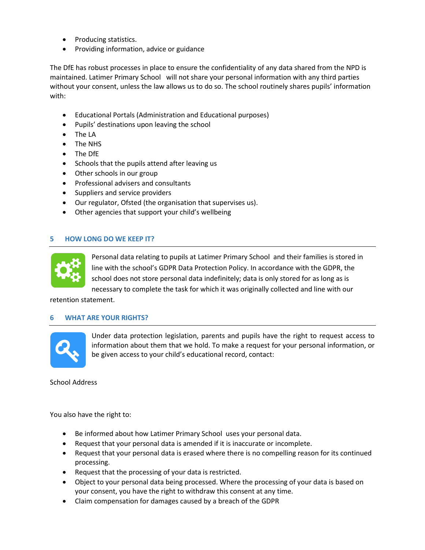- Producing statistics.
- Providing information, advice or guidance

The DfE has robust processes in place to ensure the confidentiality of any data shared from the NPD is maintained. Latimer Primary School will not share your personal information with any third parties without your consent, unless the law allows us to do so. The school routinely shares pupils' information with:

- Educational Portals (Administration and Educational purposes)
- Pupils' destinations upon leaving the school
- The LA
- The NHS
- The DfE
- Schools that the pupils attend after leaving us
- Other schools in our group
- Professional advisers and consultants
- Suppliers and service providers
- Our regulator, Ofsted (the organisation that supervises us).
- Other agencies that support your child's wellbeing

# **5 HOW LONG DO WE KEEP IT?**



Personal data relating to pupils at Latimer Primary School and their families is stored in line with the school's GDPR Data Protection Policy. In accordance with the GDPR, the school does not store personal data indefinitely; data is only stored for as long as is necessary to complete the task for which it was originally collected and line with our

retention statement.

#### **6 WHAT ARE YOUR RIGHTS?**



Under data protection legislation, parents and pupils have the right to request access to information about them that we hold. To make a request for your personal information, or be given access to your child's educational record, contact:

School Address

You also have the right to:

- Be informed about how Latimer Primary School uses your personal data.
- Request that your personal data is amended if it is inaccurate or incomplete.
- Request that your personal data is erased where there is no compelling reason for its continued processing.
- Request that the processing of your data is restricted.
- Object to your personal data being processed. Where the processing of your data is based on your consent, you have the right to withdraw this consent at any time.
- Claim compensation for damages caused by a breach of the GDPR